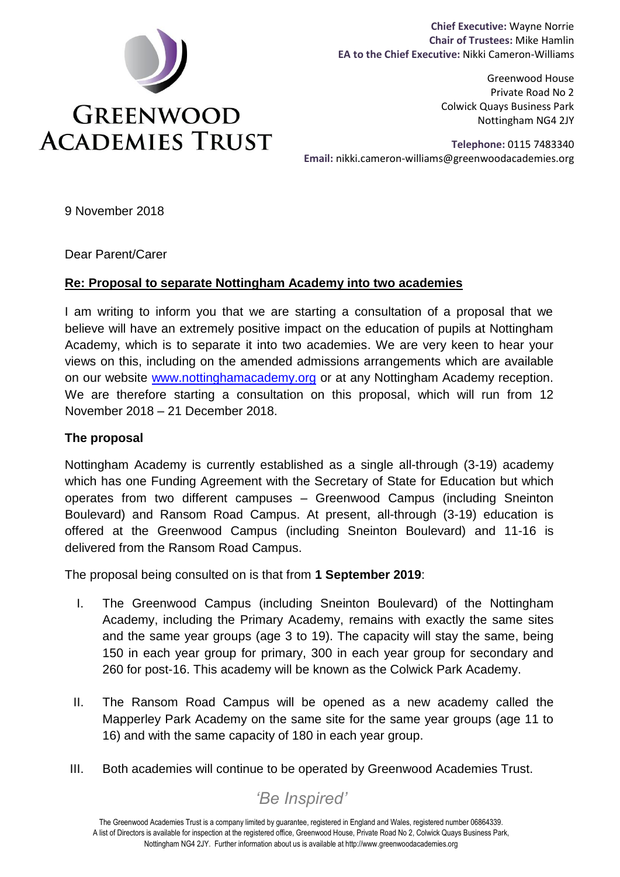

**Chief Executive:** Wayne Norrie **Chair of Trustees:** Mike Hamlin **EA to the Chief Executive:** Nikki Cameron-Williams

> Greenwood House Private Road No 2 Colwick Quays Business Park Nottingham NG4 2JY

**Telephone:** 0115 7483340  **Email:** nikki.cameron-williams@greenwoodacademies.org

9 November 2018

Dear Parent/Carer

#### **Re: Proposal to separate Nottingham Academy into two academies**

I am writing to inform you that we are starting a consultation of a proposal that we believe will have an extremely positive impact on the education of pupils at Nottingham Academy, which is to separate it into two academies. We are very keen to hear your views on this, including on the amended admissions arrangements which are available on our website [www.nottinghamacademy.org](http://www.nottinghamacademy.org/) or at any Nottingham Academy reception. We are therefore starting a consultation on this proposal, which will run from 12 November 2018 – 21 December 2018.

#### **The proposal**

Nottingham Academy is currently established as a single all-through (3-19) academy which has one Funding Agreement with the Secretary of State for Education but which operates from two different campuses – Greenwood Campus (including Sneinton Boulevard) and Ransom Road Campus. At present, all-through (3-19) education is offered at the Greenwood Campus (including Sneinton Boulevard) and 11-16 is delivered from the Ransom Road Campus.

The proposal being consulted on is that from **1 September 2019**:

- I. The Greenwood Campus (including Sneinton Boulevard) of the Nottingham Academy, including the Primary Academy, remains with exactly the same sites and the same year groups (age 3 to 19). The capacity will stay the same, being 150 in each year group for primary, 300 in each year group for secondary and 260 for post-16. This academy will be known as the Colwick Park Academy.
- II. The Ransom Road Campus will be opened as a new academy called the Mapperley Park Academy on the same site for the same year groups (age 11 to 16) and with the same capacity of 180 in each year group.
- III. Both academies will continue to be operated by Greenwood Academies Trust.

# *'Be Inspired'*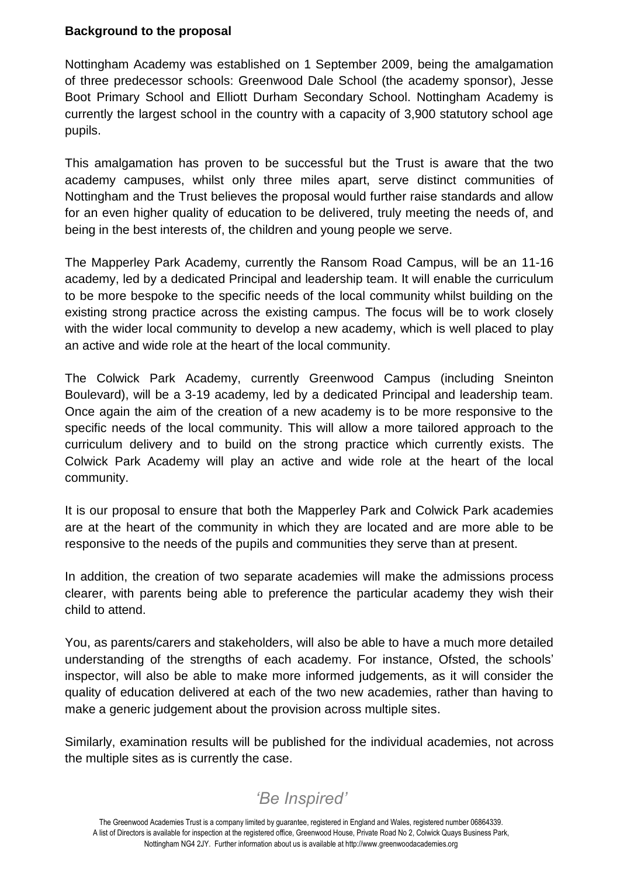### **Background to the proposal**

Nottingham Academy was established on 1 September 2009, being the amalgamation of three predecessor schools: Greenwood Dale School (the academy sponsor), Jesse Boot Primary School and Elliott Durham Secondary School. Nottingham Academy is currently the largest school in the country with a capacity of 3,900 statutory school age pupils.

This amalgamation has proven to be successful but the Trust is aware that the two academy campuses, whilst only three miles apart, serve distinct communities of Nottingham and the Trust believes the proposal would further raise standards and allow for an even higher quality of education to be delivered, truly meeting the needs of, and being in the best interests of, the children and young people we serve.

The Mapperley Park Academy, currently the Ransom Road Campus, will be an 11-16 academy, led by a dedicated Principal and leadership team. It will enable the curriculum to be more bespoke to the specific needs of the local community whilst building on the existing strong practice across the existing campus. The focus will be to work closely with the wider local community to develop a new academy, which is well placed to play an active and wide role at the heart of the local community.

The Colwick Park Academy, currently Greenwood Campus (including Sneinton Boulevard), will be a 3-19 academy, led by a dedicated Principal and leadership team. Once again the aim of the creation of a new academy is to be more responsive to the specific needs of the local community. This will allow a more tailored approach to the curriculum delivery and to build on the strong practice which currently exists. The Colwick Park Academy will play an active and wide role at the heart of the local community.

It is our proposal to ensure that both the Mapperley Park and Colwick Park academies are at the heart of the community in which they are located and are more able to be responsive to the needs of the pupils and communities they serve than at present.

In addition, the creation of two separate academies will make the admissions process clearer, with parents being able to preference the particular academy they wish their child to attend.

You, as parents/carers and stakeholders, will also be able to have a much more detailed understanding of the strengths of each academy. For instance, Ofsted, the schools' inspector, will also be able to make more informed judgements, as it will consider the quality of education delivered at each of the two new academies, rather than having to make a generic judgement about the provision across multiple sites.

Similarly, examination results will be published for the individual academies, not across the multiple sites as is currently the case.

# *'Be Inspired'*

The Greenwood Academies Trust is a company limited by guarantee, registered in England and Wales, registered number 06864339. A list of Directors is available for inspection at the registered office, Greenwood House, Private Road No 2, Colwick Quays Business Park, Nottingham NG4 2JY. Further information about us is available at http://www.greenwoodacademies.org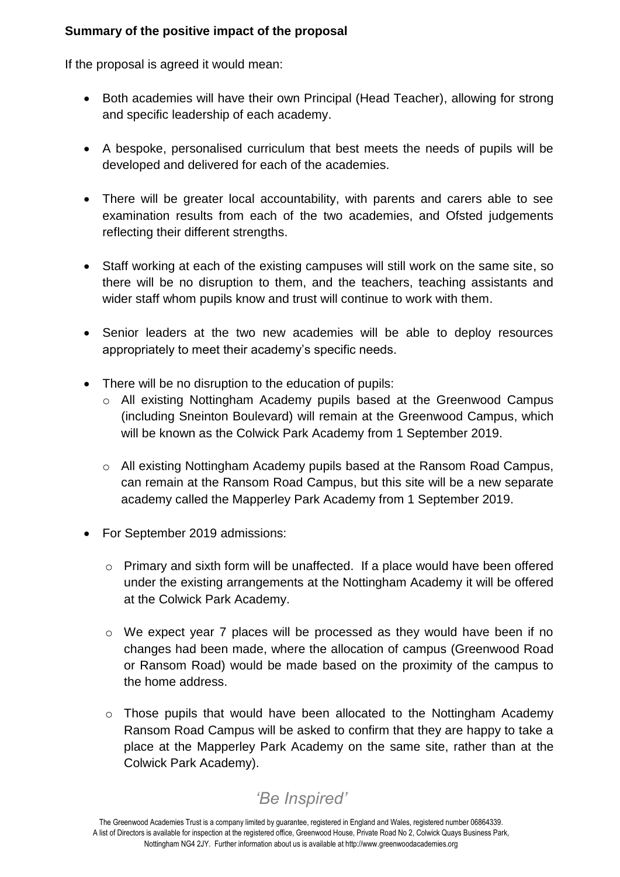### **Summary of the positive impact of the proposal**

If the proposal is agreed it would mean:

- Both academies will have their own Principal (Head Teacher), allowing for strong and specific leadership of each academy.
- A bespoke, personalised curriculum that best meets the needs of pupils will be developed and delivered for each of the academies.
- There will be greater local accountability, with parents and carers able to see examination results from each of the two academies, and Ofsted judgements reflecting their different strengths.
- Staff working at each of the existing campuses will still work on the same site, so there will be no disruption to them, and the teachers, teaching assistants and wider staff whom pupils know and trust will continue to work with them.
- Senior leaders at the two new academies will be able to deploy resources appropriately to meet their academy's specific needs.
- There will be no disruption to the education of pupils:
	- o All existing Nottingham Academy pupils based at the Greenwood Campus (including Sneinton Boulevard) will remain at the Greenwood Campus, which will be known as the Colwick Park Academy from 1 September 2019.
	- o All existing Nottingham Academy pupils based at the Ransom Road Campus, can remain at the Ransom Road Campus, but this site will be a new separate academy called the Mapperley Park Academy from 1 September 2019.
- For September 2019 admissions:
	- o Primary and sixth form will be unaffected. If a place would have been offered under the existing arrangements at the Nottingham Academy it will be offered at the Colwick Park Academy.
	- o We expect year 7 places will be processed as they would have been if no changes had been made, where the allocation of campus (Greenwood Road or Ransom Road) would be made based on the proximity of the campus to the home address.
	- o Those pupils that would have been allocated to the Nottingham Academy Ransom Road Campus will be asked to confirm that they are happy to take a place at the Mapperley Park Academy on the same site, rather than at the Colwick Park Academy).

# *'Be Inspired'*

The Greenwood Academies Trust is a company limited by guarantee, registered in England and Wales, registered number 06864339. A list of Directors is available for inspection at the registered office, Greenwood House, Private Road No 2, Colwick Quays Business Park, Nottingham NG4 2JY. Further information about us is available at http://www.greenwoodacademies.org